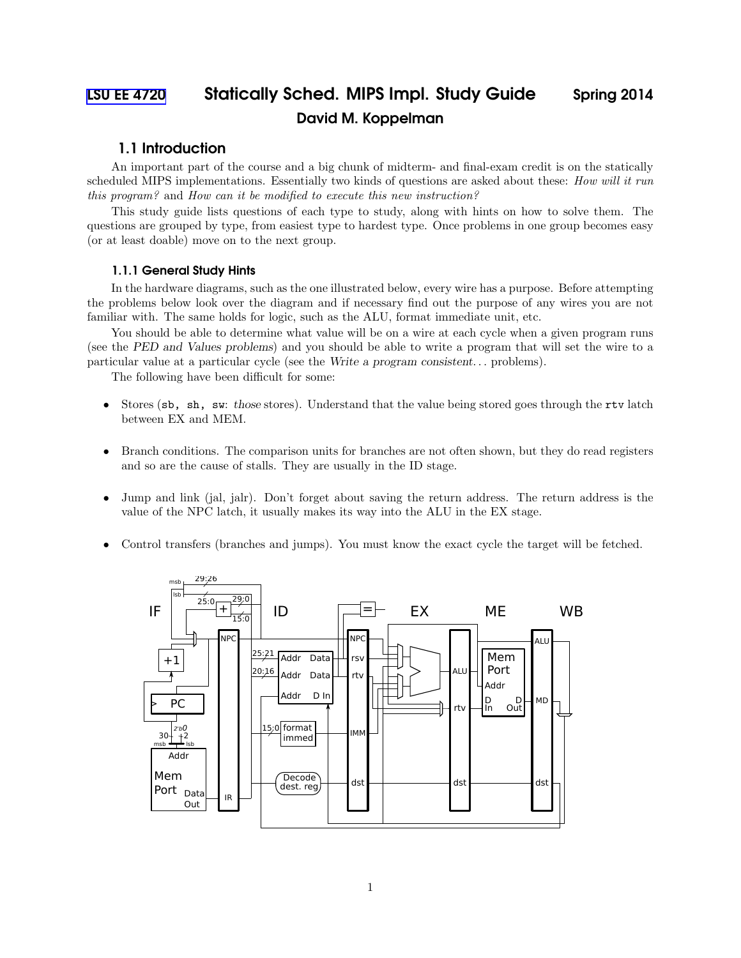# [LSU EE 4720](http://www.ece.lsu.edu/ee4720/) Statically Sched. MIPS Impl. Study Guide Spring 2014 David M. Koppelman

## 1.1 Introduction

An important part of the course and a big chunk of midterm- and final-exam credit is on the statically scheduled MIPS implementations. Essentially two kinds of questions are asked about these: How will it run this program? and How can it be modified to execute this new instruction?

This study guide lists questions of each type to study, along with hints on how to solve them. The questions are grouped by type, from easiest type to hardest type. Once problems in one group becomes easy (or at least doable) move on to the next group.

#### 1.1.1 General Study Hints

In the hardware diagrams, such as the one illustrated below, every wire has a purpose. Before attempting the problems below look over the diagram and if necessary find out the purpose of any wires you are not familiar with. The same holds for logic, such as the ALU, format immediate unit, etc.

You should be able to determine what value will be on a wire at each cycle when a given program runs (see the PED and Values problems) and you should be able to write a program that will set the wire to a particular value at a particular cycle (see the Write a program consistent. . . problems).

The following have been difficult for some:

- Stores (sb, sh, sw: those stores). Understand that the value being stored goes through the rtv latch between EX and MEM.
- Branch conditions. The comparison units for branches are not often shown, but they do read registers and so are the cause of stalls. They are usually in the ID stage.
- Jump and link (jal, jalr). Don't forget about saving the return address. The return address is the value of the NPC latch, it usually makes its way into the ALU in the EX stage.
- Control transfers (branches and jumps). You must know the exact cycle the target will be fetched.

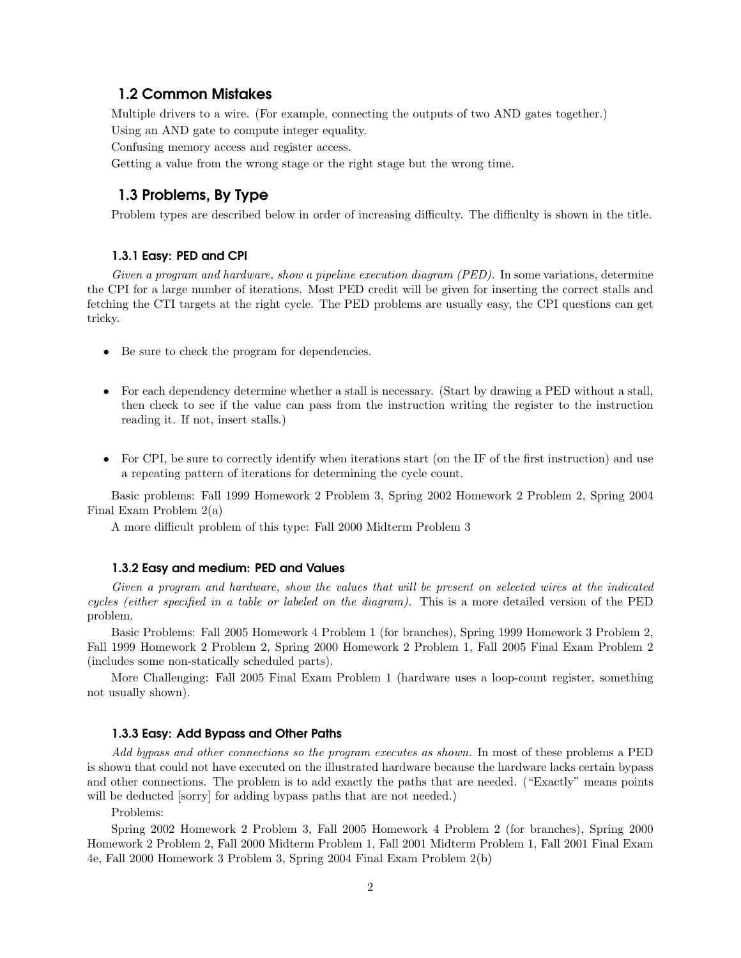## 1.2 Common Mistakes

Multiple drivers to a wire. (For example, connecting the outputs of two AND gates together.) Using an AND gate to compute integer equality.

Confusing memory access and register access.

Getting a value from the wrong stage or the right stage but the wrong time.

# 1.3 Problems, By Type

Problem types are described below in order of increasing difficulty. The difficulty is shown in the title.

#### 1.3.1 Easy: PED and CPI

Given a program and hardware, show a pipeline execution diagram (PED). In some variations, determine the CPI for a large number of iterations. Most PED credit will be given for inserting the correct stalls and fetching the CTI targets at the right cycle. The PED problems are usually easy, the CPI questions can get tricky.

- Be sure to check the program for dependencies.
- For each dependency determine whether a stall is necessary. (Start by drawing a PED without a stall, then check to see if the value can pass from the instruction writing the register to the instruction reading it. If not, insert stalls.)
- For CPI, be sure to correctly identify when iterations start (on the IF of the first instruction) and use a repeating pattern of iterations for determining the cycle count.

Basic problems: Fall 1999 Homework 2 Problem 3, Spring 2002 Homework 2 Problem 2, Spring 2004 Final Exam Problem 2(a)

A more difficult problem of this type: Fall 2000 Midterm Problem 3

#### 1.3.2 Easy and medium: PED and Values

Given a program and hardware, show the values that will be present on selected wires at the indicated cycles (either specified in a table or labeled on the diagram). This is a more detailed version of the PED problem.

Basic Problems: Fall 2005 Homework 4 Problem 1 (for branches), Spring 1999 Homework 3 Problem 2, Fall 1999 Homework 2 Problem 2, Spring 2000 Homework 2 Problem 1, Fall 2005 Final Exam Problem 2 (includes some non-statically scheduled parts).

More Challenging: Fall 2005 Final Exam Problem 1 (hardware uses a loop-count register, something not usually shown).

#### 1.3.3 Easy: Add Bypass and Other Paths

Add bypass and other connections so the program executes as shown. In most of these problems a PED is shown that could not have executed on the illustrated hardware because the hardware lacks certain bypass and other connections. The problem is to add exactly the paths that are needed. ("Exactly" means points will be deducted [sorry] for adding bypass paths that are not needed.)

Problems:

Spring 2002 Homework 2 Problem 3, Fall 2005 Homework 4 Problem 2 (for branches), Spring 2000 Homework 2 Problem 2, Fall 2000 Midterm Problem 1, Fall 2001 Midterm Problem 1, Fall 2001 Final Exam 4e, Fall 2000 Homework 3 Problem 3, Spring 2004 Final Exam Problem 2(b)